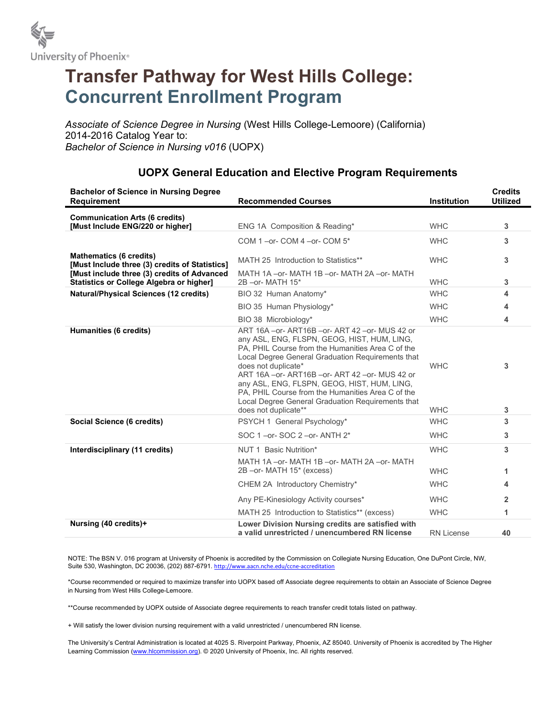

## Transfer Pathway for West Hills College: Concurrent Enrollment Program

Associate of Science Degree in Nursing (West Hills College-Lemoore) (California) 2014-2016 Catalog Year to: Bachelor of Science in Nursing v016 (UOPX)

| <b>Bachelor of Science in Nursing Degree</b><br><b>Requirement</b>                                                                                                                 | <b>Recommended Courses</b>                                                                                                                                                                                                                                                                                                                                                                                                                                                    | Institution              | <b>Credits</b><br><b>Utilized</b> |
|------------------------------------------------------------------------------------------------------------------------------------------------------------------------------------|-------------------------------------------------------------------------------------------------------------------------------------------------------------------------------------------------------------------------------------------------------------------------------------------------------------------------------------------------------------------------------------------------------------------------------------------------------------------------------|--------------------------|-----------------------------------|
| <b>Communication Arts (6 credits)</b><br>[Must Include ENG/220 or higher]                                                                                                          | ENG 1A Composition & Reading*                                                                                                                                                                                                                                                                                                                                                                                                                                                 | <b>WHC</b>               | 3                                 |
| <b>Mathematics (6 credits)</b><br>[Must Include three (3) credits of Statistics]<br>[Must include three (3) credits of Advanced<br><b>Statistics or College Algebra or higher]</b> | COM 1-or- COM 4-or- COM 5*                                                                                                                                                                                                                                                                                                                                                                                                                                                    | <b>WHC</b>               | 3                                 |
|                                                                                                                                                                                    | MATH 25 Introduction to Statistics**<br>MATH 1A - or- MATH 1B - or- MATH 2A - or- MATH                                                                                                                                                                                                                                                                                                                                                                                        | <b>WHC</b>               | 3                                 |
|                                                                                                                                                                                    | 2B - or - MATH 15*                                                                                                                                                                                                                                                                                                                                                                                                                                                            | <b>WHC</b>               | 3                                 |
| <b>Natural/Physical Sciences (12 credits)</b>                                                                                                                                      | BIO 32 Human Anatomy*                                                                                                                                                                                                                                                                                                                                                                                                                                                         | <b>WHC</b>               | 4                                 |
|                                                                                                                                                                                    | BIO 35 Human Physiology*                                                                                                                                                                                                                                                                                                                                                                                                                                                      | <b>WHC</b>               | 4                                 |
|                                                                                                                                                                                    | BIO 38 Microbiology*                                                                                                                                                                                                                                                                                                                                                                                                                                                          | <b>WHC</b>               | 4                                 |
| Humanities (6 credits)                                                                                                                                                             | ART 16A - or - ART16B - or - ART 42 - or - MUS 42 or<br>any ASL, ENG, FLSPN, GEOG, HIST, HUM, LING,<br>PA. PHIL Course from the Humanities Area C of the<br>Local Degree General Graduation Requirements that<br>does not duplicate*<br>ART 16A - or - ART16B - or - ART 42 - or - MUS 42 or<br>any ASL, ENG, FLSPN, GEOG, HIST, HUM, LING,<br>PA. PHIL Course from the Humanities Area C of the<br>Local Degree General Graduation Requirements that<br>does not duplicate** | <b>WHC</b><br><b>WHC</b> | 3<br>3                            |
| Social Science (6 credits)                                                                                                                                                         | PSYCH 1 General Psychology*                                                                                                                                                                                                                                                                                                                                                                                                                                                   | <b>WHC</b>               | 3                                 |
|                                                                                                                                                                                    | SOC 1-or-SOC 2-or-ANTH 2*                                                                                                                                                                                                                                                                                                                                                                                                                                                     | <b>WHC</b>               | 3                                 |
| Interdisciplinary (11 credits)                                                                                                                                                     | NUT 1 Basic Nutrition*<br>MATH 1A - or- MATH 1B - or- MATH 2A - or- MATH                                                                                                                                                                                                                                                                                                                                                                                                      | <b>WHC</b>               | 3                                 |
|                                                                                                                                                                                    | 2B - or- MATH 15* (excess)                                                                                                                                                                                                                                                                                                                                                                                                                                                    | <b>WHC</b>               | 1.                                |
|                                                                                                                                                                                    | CHEM 2A Introductory Chemistry*                                                                                                                                                                                                                                                                                                                                                                                                                                               | <b>WHC</b>               | 4                                 |
|                                                                                                                                                                                    | Any PE-Kinesiology Activity courses*                                                                                                                                                                                                                                                                                                                                                                                                                                          | <b>WHC</b>               | $\mathbf{2}$                      |
|                                                                                                                                                                                    | MATH 25 Introduction to Statistics** (excess)                                                                                                                                                                                                                                                                                                                                                                                                                                 | <b>WHC</b>               | 1                                 |
| Nursing (40 credits)+                                                                                                                                                              | Lower Division Nursing credits are satisfied with<br>a valid unrestricted / unencumbered RN license                                                                                                                                                                                                                                                                                                                                                                           | <b>RN License</b>        | 40                                |

## UOPX General Education and Elective Program Requirements

NOTE: The BSN V. 016 program at University of Phoenix is accredited by the Commission on Collegiate Nursing Education, One DuPont Circle, NW, Suite 530, Washington, DC 20036, (202) 887-6791. http://www.aacn.nche.edu/ccne-accreditation

\*Course recommended or required to maximize transfer into UOPX based off Associate degree requirements to obtain an Associate of Science Degree in Nursing from West Hills College-Lemoore.

\*\*Course recommended by UOPX outside of Associate degree requirements to reach transfer credit totals listed on pathway.

+ Will satisfy the lower division nursing requirement with a valid unrestricted / unencumbered RN license.

The University's Central Administration is located at 4025 S. Riverpoint Parkway, Phoenix, AZ 85040. University of Phoenix is accredited by The Higher Learning Commission (www.hlcommission.org). © 2020 University of Phoenix, Inc. All rights reserved.